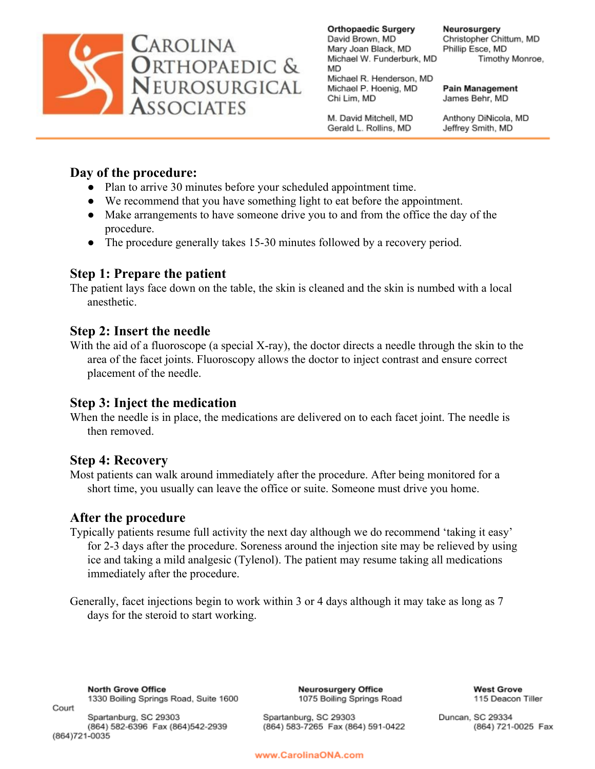

**Orthopaedic Surgery** David Brown, MD Mary Joan Black, MD Michael W. Funderburk, MD **MD** Michael R. Henderson, MD Michael P. Hoenig, MD Chi Lim, MD

Neurosurgery Christopher Chittum, MD Phillip Esce, MD Timothy Monroe,

**Pain Management** James Behr, MD

M. David Mitchell, MD Gerald L. Rollins, MD

Anthony DiNicola, MD Jeffrey Smith, MD

# **Day of the procedure:**

- Plan to arrive 30 minutes before your scheduled appointment time.
- We recommend that you have something light to eat before the appointment.
- Make arrangements to have someone drive you to and from the office the day of the procedure.
- The procedure generally takes 15-30 minutes followed by a recovery period.

#### **Step 1: Prepare the patient**

The patient lays face down on the table, the skin is cleaned and the skin is numbed with a local anesthetic.

## **Step 2: Insert the needle**

With the aid of a fluoroscope (a special X-ray), the doctor directs a needle through the skin to the area of the facet joints. Fluoroscopy allows the doctor to inject contrast and ensure correct placement of the needle.

## **Step 3: Inject the medication**

When the needle is in place, the medications are delivered on to each facet joint. The needle is then removed.

## **Step 4: Recovery**

Most patients can walk around immediately after the procedure. After being monitored for a short time, you usually can leave the office or suite. Someone must drive you home.

## **After the procedure**

Typically patients resume full activity the next day although we do recommend 'taking it easy' for 2-3 days after the procedure. Soreness around the injection site may be relieved by using ice and taking a mild analgesic (Tylenol). The patient may resume taking all medications immediately after the procedure.

Generally, facet injections begin to work within 3 or 4 days although it may take as long as 7 days for the steroid to start working.

**North Grove Office** 1330 Boiling Springs Road, Suite 1600

Spartanburg, SC 29303 (864) 582-6396 Fax (864) 542-2939 (864) 721-0035

Court

**Neurosurgery Office** 1075 Boiling Springs Road

(864) 583-7265 Fax (864) 591-0422

**West Grove** 115 Deacon Tiller

Duncan, SC 29334 (864) 721-0025 Fax

www.CarolinaONA.com

Spartanburg, SC 29303